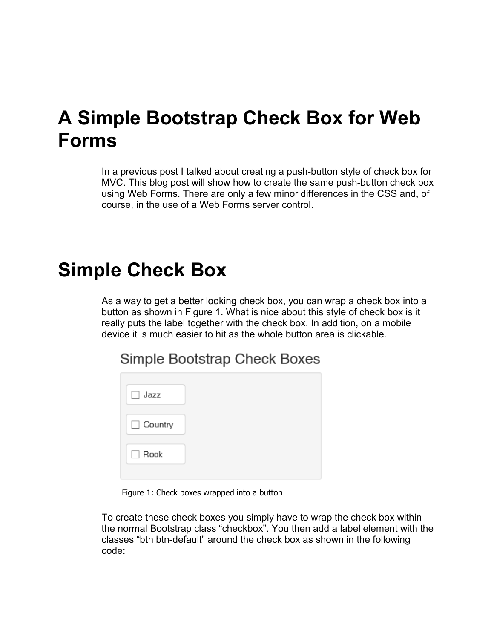## **A Simple Bootstrap Check Box for Web Forms**

In a previous post I talked about creating a push-button style of check box for MVC. This blog post will show how to create the same push-button check box using Web Forms. There are only a few minor differences in the CSS and, of course, in the use of a Web Forms server control.

## **Simple Check Box**

As a way to get a better looking check box, you can wrap a check box into a button as shown in Figure 1. What is nice about this style of check box is it really puts the label together with the check box. In addition, on a mobile device it is much easier to hit as the whole button area is clickable.

Simple Bootstrap Check Boxes

Figure 1: Check boxes wrapped into a button

To create these check boxes you simply have to wrap the check box within the normal Bootstrap class "checkbox". You then add a label element with the classes "btn btn-default" around the check box as shown in the following code: